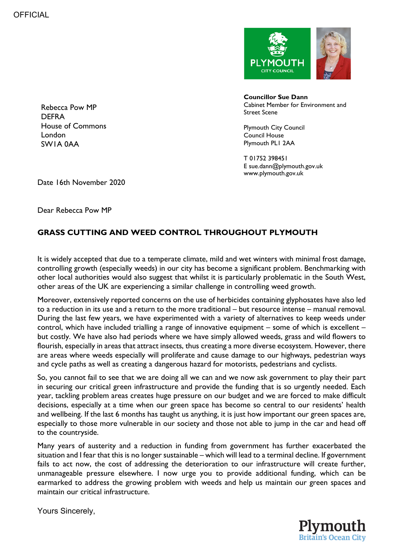

Rebecca Pow MP DEFRA House of Commons London SW1A 0AA

**Councillor Sue Dann** Cabinet Member for Environment and Street Scene

Plymouth City Council Council House Plymouth PL1 2AA

T 01752 398451 E sue.dann@plymouth.gov.uk www.plymouth.gov.uk

Date 16th November 2020

Dear Rebecca Pow MP

## **GRASS CUTTING AND WEED CONTROL THROUGHOUT PLYMOUTH**

It is widely accepted that due to a temperate climate, mild and wet winters with minimal frost damage, controlling growth (especially weeds) in our city has become a significant problem. Benchmarking with other local authorities would also suggest that whilst it is particularly problematic in the South West, other areas of the UK are experiencing a similar challenge in controlling weed growth.

Moreover, extensively reported concerns on the use of herbicides containing glyphosates have also led to a reduction in its use and a return to the more traditional – but resource intense – manual removal. During the last few years, we have experimented with a variety of alternatives to keep weeds under control, which have included trialling a range of innovative equipment – some of which is excellent – but costly. We have also had periods where we have simply allowed weeds, grass and wild flowers to flourish, especially in areas that attract insects, thus creating a more diverse ecosystem. However, there are areas where weeds especially will proliferate and cause damage to our highways, pedestrian ways and cycle paths as well as creating a dangerous hazard for motorists, pedestrians and cyclists.

So, you cannot fail to see that we are doing all we can and we now ask government to play their part in securing our critical green infrastructure and provide the funding that is so urgently needed. Each year, tackling problem areas creates huge pressure on our budget and we are forced to make difficult decisions, especially at a time when our green space has become so central to our residents' health and wellbeing. If the last 6 months has taught us anything, it is just how important our green spaces are, especially to those more vulnerable in our society and those not able to jump in the car and head off to the countryside.

Many years of austerity and a reduction in funding from government has further exacerbated the situation and I fear that this is no longer sustainable – which will lead to a terminal decline. If government fails to act now, the cost of addressing the deterioration to our infrastructure will create further, unmanageable pressure elsewhere. I now urge you to provide additional funding, which can be earmarked to address the growing problem with weeds and help us maintain our green spaces and maintain our critical infrastructure.

Yours Sincerely,